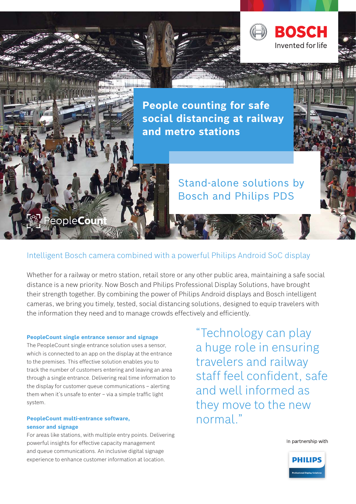

**People counting for safe social distancing at railway and metro stations**

## Stand-alone solutions by Bosch and Philips PDS

# People**Coun**

## Intelligent Bosch camera combined with a powerful Philips Android SoC display

Whether for a railway or metro station, retail store or any other public area, maintaining a safe social distance is a new priority. Now Bosch and Philips Professional Display Solutions, have brought their strength together. By combining the power of Philips Android displays and Bosch intelligent cameras, we bring you timely, tested, social distancing solutions, designed to equip travelers with the information they need and to manage crowds effectively and efficiently.

#### **PeopleCount single entrance sensor and signage**

The PeopleCount single entrance solution uses a sensor, which is connected to an app on the display at the entrance to the premises. This effective solution enables you to track the number of customers entering and leaving an area through a single entrance. Delivering real time information to the display for customer queue communications – alerting them when it's unsafe to enter – via a simple traffic light system.

#### **PeopleCount multi-entrance software, sensor and signage**

For areas like stations, with multiple entry points. Delivering powerful insights for effective capacity management and queue communications. An inclusive digital signage experience to enhance customer information at location.

"Technology can play a huge role in ensuring travelers and railway staff feel confident, safe and well informed as they move to the new normal<sup>"</sup>

In partnership with